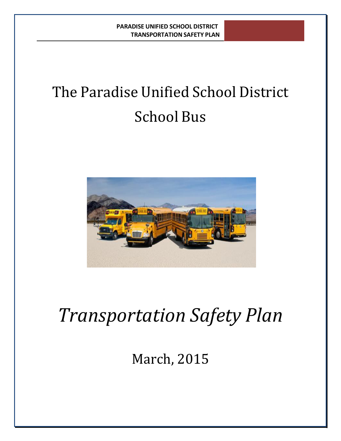# The Paradise Unified School District School Bus



# *Transportation Safety Plan*

March, 2015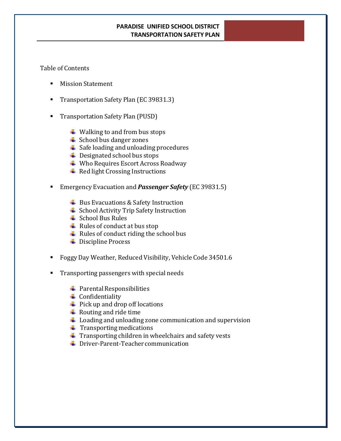#### Table of Contents

- Mission Statement
- **Transportation Safety Plan (EC 39831.3)**
- **Transportation Safety Plan (PUSD)** 
	- $\ddotplus$  Walking to and from bus stops
	- **E** School bus danger zones
	- $\frac{1}{2}$  Safe loading and unloading procedures
	- **↓** Designated school bus stops
	- **↓ Who Requires Escort Across Roadway**
	- $\triangleq$  Red light Crossing Instructions
- Emergency Evacuation and *Passenger Safety* (EC 39831.5)
	- $\overline{\phantom{a}}$  Bus Evacuations & Safety Instruction
	- School Activity Trip Safety Instruction
	- $\triangleq$  School Bus Rules
	- $\overline{\phantom{a} \bullet}$  Rules of conduct at bus stop
	- $\overline{\phantom{a}}$  Rules of conduct riding the school bus
	- **■** Discipline Process
- Foggy Day Weather, Reduced Visibility, Vehicle Code 34501.6
- **Transporting passengers with special needs** 
	- $\overline{\phantom{a}}$  Parental Responsibilities
	- $\triangle$  Confidentiality
	- $\overline{\phantom{a}}$  Pick up and drop off locations
	- $\blacksquare$  Routing and ride time
	- $\ddot{\phantom{1}}$  Loading and unloading zone communication and supervision
	- $\blacksquare$  Transporting medications
	- $\ddot{\phantom{a}}$  Transporting children in wheelchairs and safety vests
	- **↓** Driver-Parent-Teacher communication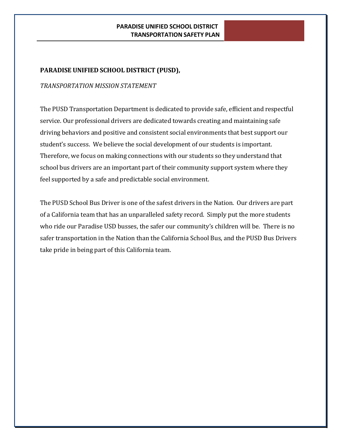# **PARADISE UNIFIED SCHOOL DISTRICT (PUSD),**

#### *TRANSPORTATION MISSION STATEMENT*

The PUSD Transportation Department is dedicated to provide safe, efficient and respectful service. Our professional drivers are dedicated towards creating and maintaining safe driving behaviors and positive and consistent social environments that best support our student's success. We believe the social development of our students is important. Therefore, we focus on making connections with our students so they understand that school bus drivers are an important part of their community support system where they feel supported by a safe and predictable social environment.

The PUSD School Bus Driver is one of the safest drivers in the Nation. Our drivers are part of a California team that has an unparalleled safety record. Simply put the more students who ride our Paradise USD busses, the safer our community's children will be. There is no safer transportation in the Nation than the California School Bus, and the PUSD Bus Drivers take pride in being part of this California team.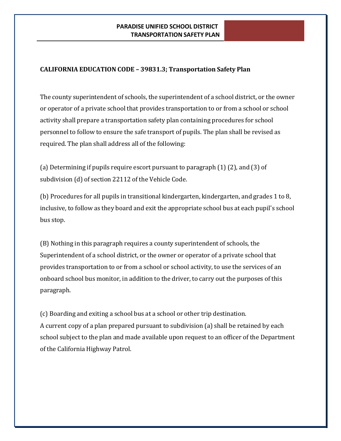# **CALIFORNIA EDUCATION CODE – 39831.3; Transportation Safety Plan**

The county superintendent of schools, the superintendent of a school district, or the owner or operator of a private school that provides transportation to or from a school or school activity shall prepare a transportation safety plan containing procedures for school personnel to follow to ensure the safe transport of pupils. The plan shall be revised as required. The plan shall address all of the following:

(a) Determining if pupils require escort pursuant to paragraph (1) (2), and (3) of subdivision (d) of section 22112 of the Vehicle Code.

(b) Procedures for all pupils in transitional kindergarten, kindergarten, and grades 1 to 8, inclusive, to follow as they board and exit the appropriate school bus at each pupil's school bus stop.

(B) Nothing in this paragraph requires a county superintendent of schools, the Superintendent of a school district, or the owner or operator of a private school that provides transportation to or from a school or school activity, to use the services of an onboard school bus monitor, in addition to the driver, to carry out the purposes of this paragraph.

(c) Boarding and exiting a school bus at a school or other trip destination. A current copy of a plan prepared pursuant to subdivision (a) shall be retained by each school subject to the plan and made available upon request to an officer of the Department of the California Highway Patrol.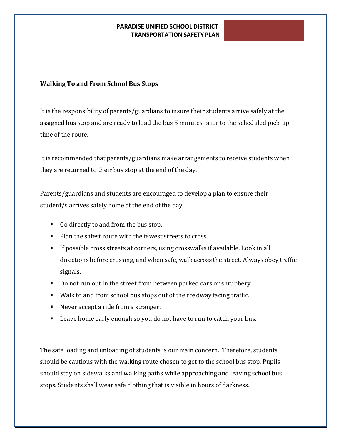# **Walking To and From School Bus Stops**

It is the responsibility of parents/guardians to insure their students arrive safely at the assigned bus stop and are ready to load the bus 5 minutes prior to the scheduled pick-up time of the route.

It is recommended that parents/guardians make arrangements to receive students when they are returned to their bus stop at the end of the day.

Parents/guardians and students are encouraged to develop a plan to ensure their student/s arrives safely home at the end of the day.

- Go directly to and from the bus stop.
- Plan the safest route with the fewest streets to cross.
- If possible cross streets at corners, using crosswalks if available. Look in all directions before crossing, and when safe, walk across the street. Always obey traffic signals.
- Do not run out in the street from between parked cars or shrubbery.
- Walk to and from school bus stops out of the roadway facing traffic.
- Never accept a ride from a stranger.
- **EXECT** Leave home early enough so you do not have to run to catch your bus.

The safe loading and unloading of students is our main concern. Therefore, students should be cautious with the walking route chosen to get to the school bus stop. Pupils should stay on sidewalks and walking paths while approaching and leaving school bus stops. Students shall wear safe clothing that is visible in hours of darkness.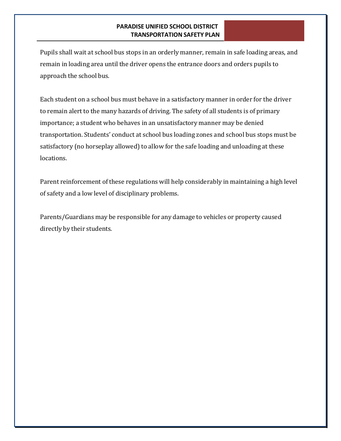Pupils shall wait at school bus stops in an orderly manner, remain in safe loading areas, and remain in loading area until the driver opens the entrance doors and orders pupils to approach the school bus.

Each student on a school bus must behave in a satisfactory manner in order for the driver to remain alert to the many hazards of driving. The safety of all students is of primary importance; a student who behaves in an unsatisfactory manner may be denied transportation. Students' conduct at school bus loading zones and school bus stops must be satisfactory (no horseplay allowed) to allow for the safe loading and unloading at these locations.

Parent reinforcement of these regulations will help considerably in maintaining a high level of safety and a low level of disciplinary problems.

Parents/Guardians may be responsible for any damage to vehicles or property caused directly by their students.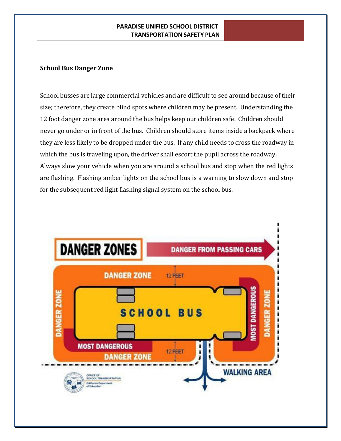## **School Bus Danger Zone**

School busses are large commercial vehicles and are difficult to see around because of their size; therefore, they create blind spots where children may be present. Understanding the 12 foot danger zone area around the bus helps keep our children safe. Children should never go under or in front of the bus. Children should store items inside a backpack where they are less likely to be dropped under the bus. If any child needs to cross the roadway in which the bus is traveling upon, the driver shall escort the pupil across the roadway. Always slow your vehicle when you are around a school bus and stop when the red lights are flashing. Flashing amber lights on the school bus is a warning to slow down and stop for the subsequent red light flashing signal system on the school bus.

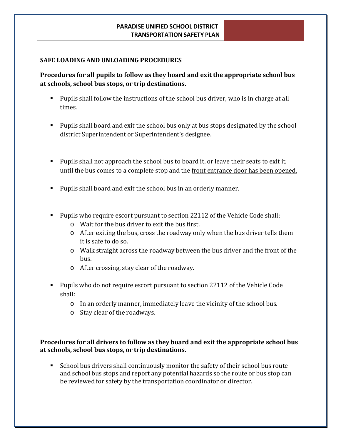#### **SAFE LOADING AND UNLOADING PROCEDURES**

# **Procedures for all pupils to follow as they board and exit the appropriate school bus at schools, school bus stops, or trip destinations.**

- Pupils shall follow the instructions of the school bus driver, who is in charge at all times.
- **Pupils shall board and exit the school bus only at bus stops designated by the school** district Superintendent or Superintendent's designee.
- **Pupils shall not approach the school bus to board it, or leave their seats to exit it,** until the bus comes to a complete stop and the front entrance door has been opened.
- Pupils shall board and exit the school bus in an orderly manner.
- Pupils who require escort pursuant to section 22112 of the Vehicle Code shall:
	- o Wait for the bus driver to exit the bus first.
	- o After exiting the bus, cross the roadway only when the bus driver tells them it is safe to do so.
	- o Walk straight across the roadway between the bus driver and the front of the bus.
	- o After crossing, stay clear of the roadway.
- Pupils who do not require escort pursuant to section 22112 of the Vehicle Code shall:
	- o In an orderly manner, immediately leave the vicinity of the school bus.
	- o Stay clear of the roadways.

**Procedures for all drivers to follow as they board and exit the appropriate school bus at schools, school bus stops, or trip destinations.**

 School bus drivers shall continuously monitor the safety of their school bus route and school bus stops and report any potential hazards so the route or bus stop can be reviewed for safety by the transportation coordinator or director.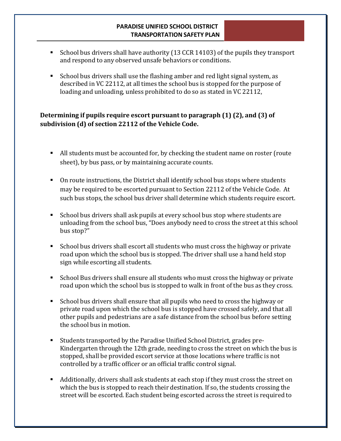- School bus drivers shall have authority (13 CCR 14103) of the pupils they transport and respond to any observed unsafe behaviors or conditions.
- School bus drivers shall use the flashing amber and red light signal system, as described in VC 22112, at all times the school bus is stopped for the purpose of loading and unloading, unless prohibited to do so as stated in VC 22112,

# **Determining if pupils require escort pursuant to paragraph (1) (2), and (3) of subdivision (d) of section 22112 of the Vehicle Code.**

- All students must be accounted for, by checking the student name on roster (route sheet), by bus pass, or by maintaining accurate counts.
- On route instructions, the District shall identify school bus stops where students may be required to be escorted pursuant to Section 22112 of the Vehicle Code. At such bus stops, the school bus driver shall determine which students require escort.
- School bus drivers shall ask pupils at every school bus stop where students are unloading from the school bus, "Does anybody need to cross the street at this school bus stop?"
- School bus drivers shall escort all students who must cross the highway or private road upon which the school bus is stopped. The driver shall use a hand held stop sign while escorting all students.
- School Bus drivers shall ensure all students who must cross the highway or private road upon which the school bus is stopped to walk in front of the bus as they cross.
- School bus drivers shall ensure that all pupils who need to cross the highway or private road upon which the school bus is stopped have crossed safely, and that all other pupils and pedestrians are a safe distance from the school bus before setting the school bus in motion.
- Students transported by the Paradise Unified School District, grades pre-Kindergarten through the 12th grade, needing to cross the street on which the bus is stopped, shall be provided escort service at those locations where traffic is not controlled by a traffic officer or an official traffic control signal.
- Additionally, drivers shall ask students at each stop if they must cross the street on which the bus is stopped to reach their destination. If so, the students crossing the street will be escorted. Each student being escorted across the street is required to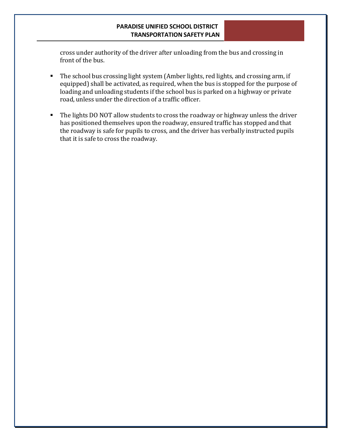cross under authority of the driver after unloading from the bus and crossing in front of the bus.

- The school bus crossing light system (Amber lights, red lights, and crossing arm, if equipped) shall be activated, as required, when the bus is stopped for the purpose of loading and unloading students if the school bus is parked on a highway or private road, unless under the direction of a traffic officer.
- The lights DO NOT allow students to cross the roadway or highway unless the driver has positioned themselves upon the roadway, ensured traffic has stopped and that the roadway is safe for pupils to cross, and the driver has verbally instructed pupils that it is safe to cross the roadway.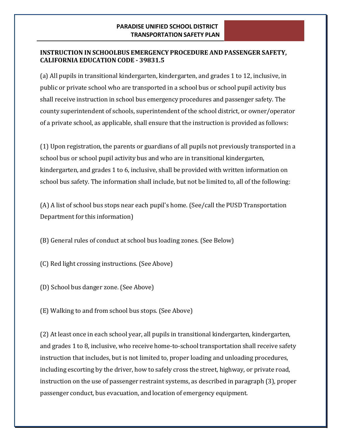# **INSTRUCTION IN SCHOOLBUS EMERGENCY PROCEDURE AND PASSENGER SAFETY, CALIFORNIA EDUCATION CODE - 39831.5**

(a) All pupils in transitional kindergarten, kindergarten, and grades 1 to 12, inclusive, in public or private school who are transported in a school bus or school pupil activity bus shall receive instruction in school bus emergency procedures and passenger safety. The county superintendent of schools, superintendent of the school district, or owner/operator of a private school, as applicable, shall ensure that the instruction is provided as follows:

(1) Upon registration, the parents or guardians of all pupils not previously transported in a school bus or school pupil activity bus and who are in transitional kindergarten, kindergarten, and grades 1 to 6, inclusive, shall be provided with written information on school bus safety. The information shall include, but not be limited to, all of the following:

(A) A list of school bus stops near each pupil's home. (See/call the PUSD Transportation Department for this information)

(B) General rules of conduct at school bus loading zones. (See Below)

(C) Red light crossing instructions. (See Above)

(D) School bus danger zone. (See Above)

(E) Walking to and from school bus stops. (See Above)

(2) At least once in each school year, all pupils in transitional kindergarten, kindergarten, and grades 1 to 8, inclusive, who receive home-to-school transportation shall receive safety instruction that includes, but is not limited to, proper loading and unloading procedures, including escorting by the driver, how to safely cross the street, highway, or private road, instruction on the use of passenger restraint systems, as described in paragraph (3), proper passenger conduct, bus evacuation, and location of emergency equipment.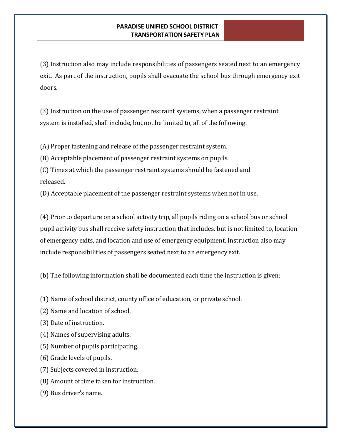(3) Instruction also may include responsibilities of passengers seated next to an emergency exit. As part of the instruction, pupils shall evacuate the school bus through emergency exit doors.

(3) Instruction on the use of passenger restraint systems, when a passenger restraint system is installed, shall include, but not be limited to, all of the following:

(A) Proper fastening and release of the passenger restraint system.

(B) Acceptable placement of passenger restraint systems on pupils.

(C) Times at which the passenger restraint systems should be fastened and released.

(D) Acceptable placement of the passenger restraint systems when not in use.

(4) Prior to departure on a school activity trip, all pupils riding on a school bus or school pupil activity bus shall receive safety instruction that includes, but is not limited to, location of emergency exits, and location and use of emergency equipment. Instruction also may include responsibilities of passengers seated next to an emergency exit.

(b) The following information shall be documented each time the instruction is given:

(1) Name of school district, county office of education, or private school.

(2) Name and location of school.

(3) Date of instruction.

(4) Names of supervising adults.

(5) Number of pupils participating.

(6) Grade levels of pupils.

(7) Subjects covered in instruction.

(8) Amount of time taken for instruction.

(9) Bus driver's name.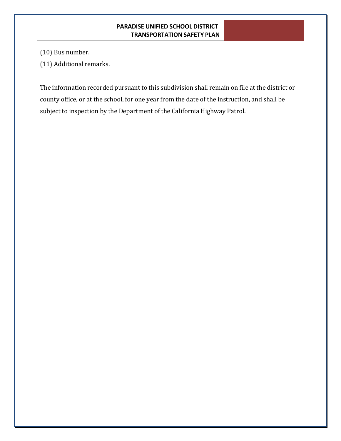(10) Bus number.

(11) Additional remarks.

The information recorded pursuant to this subdivision shall remain on file at the district or county office, or at the school, for one year from the date of the instruction, and shall be subject to inspection by the Department of the California Highway Patrol.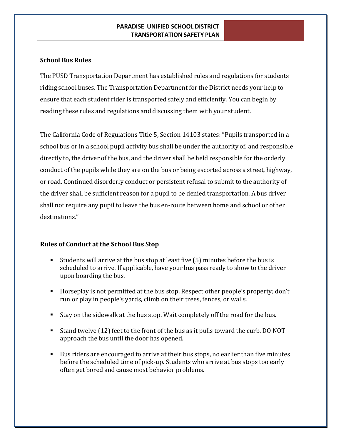# **School Bus Rules**

The PUSD Transportation Department has established rules and regulations for students riding school buses. The Transportation Department for the District needs your help to ensure that each student rider is transported safely and efficiently. You can begin by reading these rules and regulations and discussing them with your student.

The California Code of Regulations Title 5, Section 14103 states: "Pupils transported in a school bus or in a school pupil activity bus shall be under the authority of, and responsible directly to, the driver of the bus, and the driver shall be held responsible for the orderly conduct of the pupils while they are on the bus or being escorted across a street, highway, or road. Continued disorderly conduct or persistent refusal to submit to the authority of the driver shall be sufficient reason for a pupil to be denied transportation. A bus driver shall not require any pupil to leave the bus en-route between home and school or other destinations."

## **Rules of Conduct at the School Bus Stop**

- Students will arrive at the bus stop at least five (5) minutes before the bus is scheduled to arrive. If applicable, have your bus pass ready to show to the driver upon boarding the bus.
- Horseplay is not permitted at the bus stop. Respect other people's property; don't run or play in people's yards, climb on their trees, fences, or walls.
- Stay on the sidewalk at the bus stop. Wait completely off the road for the bus.
- Stand twelve (12) feet to the front of the bus as it pulls toward the curb. DO NOT approach the bus until the door has opened.
- Bus riders are encouraged to arrive at their bus stops, no earlier than five minutes before the scheduled time of pick-up. Students who arrive at bus stops too early often get bored and cause most behavior problems.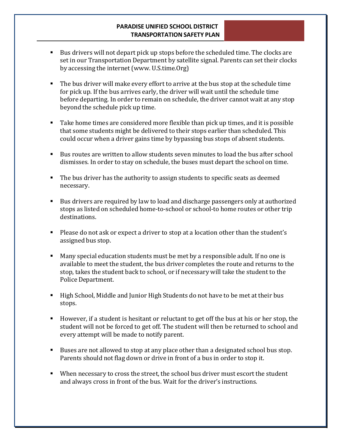- Bus drivers will not depart pick up stops before the scheduled time. The clocks are set in our Transportation Department by satellite signal. Parents can set their clocks by accessing the internet [\(www.](http://www/) U.S.time.Org)
- The bus driver will make every effort to arrive at the bus stop at the schedule time for pick up. If the bus arrives early, the driver will wait until the schedule time before departing. In order to remain on schedule, the driver cannot wait at any stop beyond the schedule pick up time.
- Take home times are considered more flexible than pick up times, and it is possible that some students might be delivered to their stops earlier than scheduled. This could occur when a driver gains time by bypassing bus stops of absent students.
- Bus routes are written to allow students seven minutes to load the bus after school dismisses. In order to stay on schedule, the buses must depart the school on time.
- The bus driver has the authority to assign students to specific seats as deemed necessary.
- Bus drivers are required by law to load and discharge passengers only at authorized stops as listed on scheduled home-to-school or school-to home routes or other trip destinations.
- Please do not ask or expect a driver to stop at a location other than the student's assigned bus stop.
- Many special education students must be met by a responsible adult. If no one is available to meet the student, the bus driver completes the route and returns to the stop, takes the student back to school, or if necessary will take the student to the Police Department.
- High School, Middle and Junior High Students do not have to be met at their bus stops.
- However, if a student is hesitant or reluctant to get off the bus at his or her stop, the student will not be forced to get off. The student will then be returned to school and every attempt will be made to notify parent.
- Buses are not allowed to stop at any place other than a designated school bus stop. Parents should not flag down or drive in front of a bus in order to stop it.
- When necessary to cross the street, the school bus driver must escort the student and always cross in front of the bus. Wait for the driver's instructions.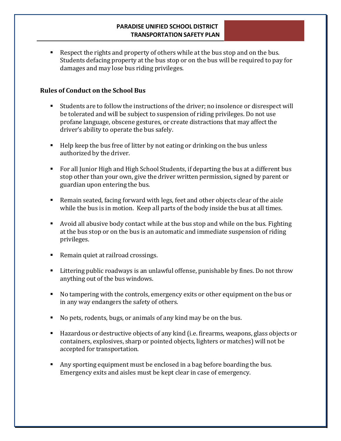Respect the rights and property of others while at the bus stop and on the bus. Students defacing property at the bus stop or on the bus will be required to pay for damages and may lose bus riding privileges.

# **Rules of Conduct on the School Bus**

- Students are to follow the instructions of the driver; no insolence or disrespect will be tolerated and will be subject to suspension of riding privileges. Do not use profane language, obscene gestures, or create distractions that may affect the driver's ability to operate the bus safely.
- Help keep the bus free of litter by not eating or drinking on the bus unless authorized by the driver.
- For all Junior High and High School Students, if departing the bus at a different bus stop other than your own, give the driver written permission, signed by parent or guardian upon entering the bus.
- Remain seated, facing forward with legs, feet and other objects clear of the aisle while the bus is in motion. Keep all parts of the body inside the bus at all times.
- Avoid all abusive body contact while at the bus stop and while on the bus. Fighting at the bus stop or on the bus is an automatic and immediate suspension of riding privileges.
- Remain quiet at railroad crossings.
- Littering public roadways is an unlawful offense, punishable by fines. Do not throw anything out of the bus windows.
- No tampering with the controls, emergency exits or other equipment on the bus or in any way endangers the safety of others.
- No pets, rodents, bugs, or animals of any kind may be on the bus.
- Hazardous or destructive objects of any kind (i.e. firearms, weapons, glass objects or containers, explosives, sharp or pointed objects, lighters or matches) will not be accepted for transportation.
- Any sporting equipment must be enclosed in a bag before boarding the bus. Emergency exits and aisles must be kept clear in case of emergency.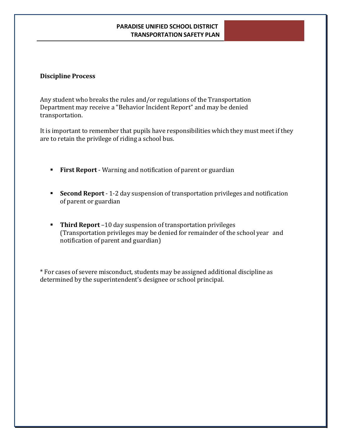#### **Discipline Process**

Any student who breaks the rules and/or regulations of the Transportation Department may receive a "Behavior Incident Report" and may be denied transportation.

It is important to remember that pupils have responsibilities which they must meet if they are to retain the privilege of riding a school bus.

- **First Report** Warning and notification of parent or guardian
- **Second Report** 1-2 day suspension of transportation privileges and notification of parent or guardian
- **Third Report** –10 day suspension of transportation privileges (Transportation privileges may be denied for remainder of the school year and notification of parent and guardian)

\* For cases of severe misconduct, students may be assigned additional discipline as determined by the superintendent's designee or school principal.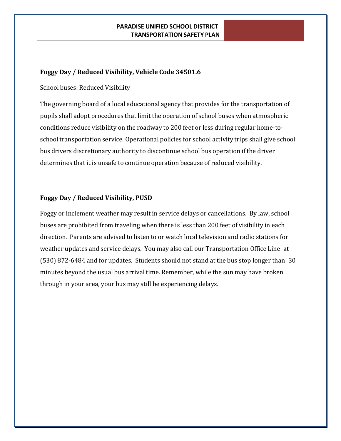# **Foggy Day / Reduced Visibility, Vehicle Code 34501.6**

School buses: Reduced Visibility

The governing board of a local educational agency that provides for the transportation of pupils shall adopt procedures that limit the operation of school buses when atmospheric conditions reduce visibility on the roadway to 200 feet or less during regular home-toschool transportation service. Operational policies for school activity trips shall give school bus drivers discretionary authority to discontinue school bus operation if the driver determines that it is unsafe to continue operation because of reduced visibility.

# **Foggy Day / Reduced Visibility, PUSD**

Foggy or inclement weather may result in service delays or cancellations. By law, school buses are prohibited from traveling when there is less than 200 feet of visibility in each direction. Parents are advised to listen to or watch local television and radio stations for weather updates and service delays. You may also call our Transportation Office Line at (530) 872-6484 and for updates. Students should not stand at the bus stop longer than 30 minutes beyond the usual bus arrival time. Remember, while the sun may have broken through in your area, your bus may still be experiencing delays.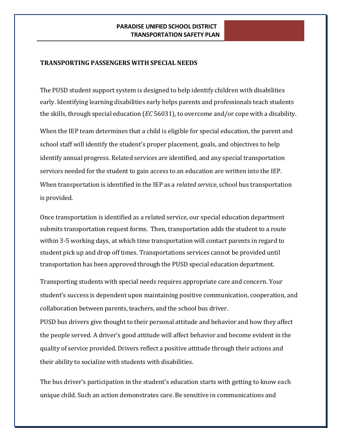#### **TRANSPORTING PASSENGERS WITH SPECIAL NEEDS**

The PUSD student support system is designed to help identify children with disabilities early. Identifying learning disabilities early helps parents and professionals teach students the skills, through special education (*EC* 56031), to overcome and/or cope with a disability.

When the IEP team determines that a child is eligible for special education, the parent and school staff will identify the student's proper placement, goals, and objectives to help identify annual progress. Related services are identified, and any special transportation services needed for the student to gain access to an education are written into the IEP. When transportation is identified in the IEP as a *related service*, school bus transportation is provided.

Once transportation is identified as a related service, our special education department submits transportation request forms. Then, transportation adds the student to a route within 3-5 working days, at which time transportation will contact parents in regard to student pick up and drop off times. Transportations services cannot be provided until transportation has been approved through the PUSD special education department.

Transporting students with special needs requires appropriate care and concern. Your student's success is dependent upon maintaining positive communication, cooperation, and collaboration between parents, teachers, and the school bus driver.

PUSD bus drivers give thought to their personal attitude and behavior and how they affect the people served. A driver's good attitude will affect behavior and become evident in the quality of service provided. Drivers reflect a positive attitude through their actions and their ability to socialize with students with disabilities.

The bus driver's participation in the student's education starts with getting to know each unique child. Such an action demonstrates care. Be sensitive in communications and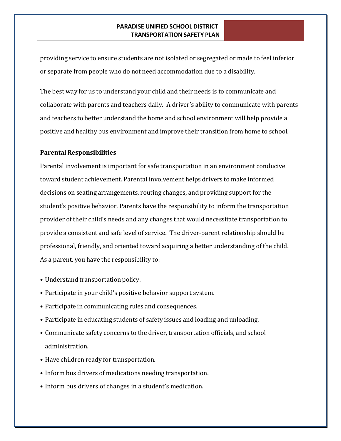providing service to ensure students are not isolated or segregated or made to feel inferior or separate from people who do not need accommodation due to a disability.

The best way for us to understand your child and their needs is to communicate and collaborate with parents and teachers daily. A driver's ability to communicate with parents and teachers to better understand the home and school environment will help provide a positive and healthy bus environment and improve their transition from home to school.

#### **Parental Responsibilities**

Parental involvement is important for safe transportation in an environment conducive toward student achievement. Parental involvement helps drivers to make informed decisions on seating arrangements, routing changes, and providing support for the student's positive behavior. Parents have the responsibility to inform the transportation provider of their child's needs and any changes that would necessitate transportation to provide a consistent and safe level of service. The driver-parent relationship should be professional, friendly, and oriented toward acquiring a better understanding of the child. As a parent, you have the responsibility to:

- Understand transportation policy.
- Participate in your child's positive behavior support system.
- Participate in communicating rules and consequences.
- Participate in educating students of safety issues and loading and unloading.
- Communicate safety concerns to the driver, transportation officials, and school administration.
- Have children ready for transportation.
- Inform bus drivers of medications needing transportation.
- Inform bus drivers of changes in a student's medication.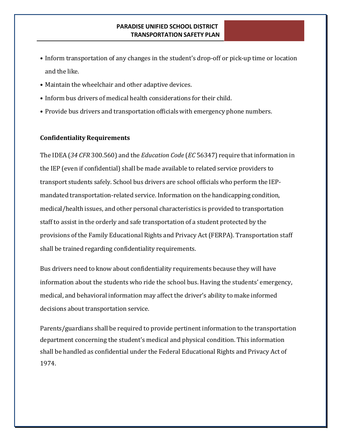- Inform transportation of any changes in the student's drop-off or pick-up time or location and the like.
- Maintain the wheelchair and other adaptive devices.
- Inform bus drivers of medical health considerations for their child.
- Provide bus drivers and transportation officials with emergency phone numbers.

#### **Confidentiality Requirements**

The IDEA (*34 CFR* 300.560) and the *Education Code* (*EC* 56347) require that information in the IEP (even if confidential) shall be made available to related service providers to transport students safely. School bus drivers are school officials who perform the IEPmandated transportation-related service. Information on the handicapping condition, medical/health issues, and other personal characteristics is provided to transportation staff to assist in the orderly and safe transportation of a student protected by the provisions of the Family Educational Rights and Privacy Act (FERPA). Transportation staff shall be trained regarding confidentiality requirements.

Bus drivers need to know about confidentiality requirements because they will have information about the students who ride the school bus. Having the students' emergency, medical, and behavioral information may affect the driver's ability to make informed decisions about transportation service.

Parents/guardians shall be required to provide pertinent information to the transportation department concerning the student's medical and physical condition. This information shall be handled as confidential under the Federal Educational Rights and Privacy Act of 1974.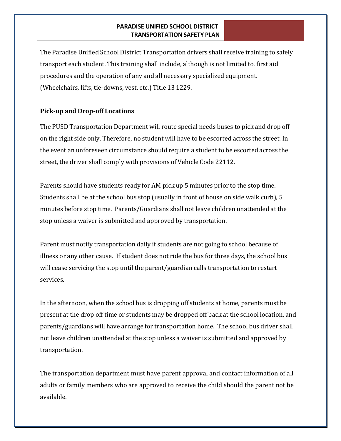The Paradise Unified School District Transportation drivers shall receive training to safely transport each student. This training shall include, although is not limited to, first aid procedures and the operation of any and all necessary specialized equipment. (Wheelchairs, lifts, tie-downs, vest, etc.) Title 13 1229.

## **Pick-up and Drop-off Locations**

The PUSD Transportation Department will route special needs buses to pick and drop off on the right side only. Therefore, no student will have to be escorted across the street. In the event an unforeseen circumstance should require a student to be escorted across the street, the driver shall comply with provisions of Vehicle Code 22112.

Parents should have students ready for AM pick up 5 minutes prior to the stop time. Students shall be at the school bus stop (usually in front of house on side walk curb), 5 minutes before stop time. Parents/Guardians shall not leave children unattended at the stop unless a waiver is submitted and approved by transportation.

Parent must notify transportation daily if students are not going to school because of illness or any other cause. If student does not ride the bus for three days, the school bus will cease servicing the stop until the parent/guardian calls transportation to restart services.

In the afternoon, when the school bus is dropping off students at home, parents must be present at the drop off time or students may be dropped off back at the school location, and parents/guardians will have arrange for transportation home. The school bus driver shall not leave children unattended at the stop unless a waiver is submitted and approved by transportation.

The transportation department must have parent approval and contact information of all adults or family members who are approved to receive the child should the parent not be available.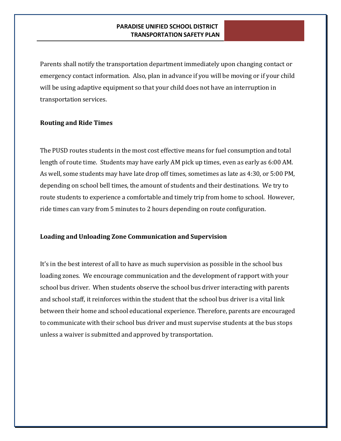Parents shall notify the transportation department immediately upon changing contact or emergency contact information. Also, plan in advance if you will be moving or if your child will be using adaptive equipment so that your child does not have an interruption in transportation services.

#### **Routing and Ride Times**

The PUSD routes students in the most cost effective means for fuel consumption and total length of route time. Students may have early AM pick up times, even as early as 6:00 AM. As well, some students may have late drop off times, sometimes as late as 4:30, or 5:00 PM, depending on school bell times, the amount of students and their destinations. We try to route students to experience a comfortable and timely trip from home to school. However, ride times can vary from 5 minutes to 2 hours depending on route configuration.

#### **Loading and Unloading Zone Communication and Supervision**

It's in the best interest of all to have as much supervision as possible in the school bus loading zones. We encourage communication and the development of rapport with your school bus driver. When students observe the school bus driver interacting with parents and school staff, it reinforces within the student that the school bus driver is a vital link between their home and school educational experience. Therefore, parents are encouraged to communicate with their school bus driver and must supervise students at the bus stops unless a waiver is submitted and approved by transportation.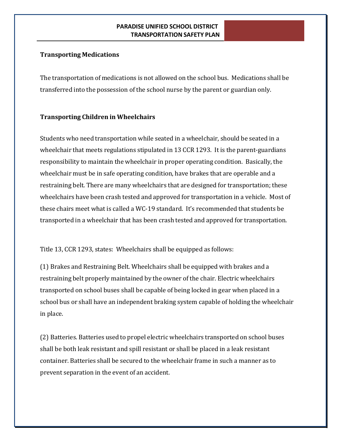# **Transporting Medications**

The transportation of medications is not allowed on the school bus. Medications shall be transferred into the possession of the school nurse by the parent or guardian only.

# **Transporting Children in Wheelchairs**

Students who need transportation while seated in a wheelchair, should be seated in a wheelchair that meets regulations stipulated in 13 CCR 1293. It is the parent-guardians responsibility to maintain the wheelchair in proper operating condition. Basically, the wheelchair must be in safe operating condition, have brakes that are operable and a restraining belt. There are many wheelchairs that are designed for transportation; these wheelchairs have been crash tested and approved for transportation in a vehicle. Most of these chairs meet what is called a WC-19 standard. It's recommended that students be transported in a wheelchair that has been crash tested and approved for transportation.

Title 13, CCR 1293, states: Wheelchairs shall be equipped as follows:

(1) Brakes and Restraining Belt. Wheelchairs shall be equipped with brakes and a restraining belt properly maintained by the owner of the chair. Electric wheelchairs transported on school buses shall be capable of being locked in gear when placed in a school bus or shall have an independent braking system capable of holding the wheelchair in place.

(2) Batteries. Batteries used to propel electric wheelchairs transported on school buses shall be both leak resistant and spill resistant or shall be placed in a leak resistant container. Batteries shall be secured to the wheelchair frame in such a manner as to prevent separation in the event of an accident.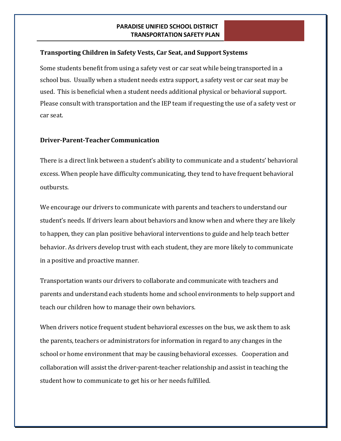#### **Transporting Children in Safety Vests, Car Seat, and Support Systems**

Some students benefit from using a safety vest or car seat while being transported in a school bus. Usually when a student needs extra support, a safety vest or car seat may be used. This is beneficial when a student needs additional physical or behavioral support. Please consult with transportation and the IEP team if requesting the use of a safety vest or car seat.

#### **Driver-Parent-TeacherCommunication**

There is a direct link between a student's ability to communicate and a students' behavioral excess. When people have difficulty communicating, they tend to have frequent behavioral outbursts.

We encourage our drivers to communicate with parents and teachers to understand our student's needs. If drivers learn about behaviors and know when and where they are likely to happen, they can plan positive behavioral interventions to guide and help teach better behavior. As drivers develop trust with each student, they are more likely to communicate in a positive and proactive manner.

Transportation wants our drivers to collaborate and communicate with teachers and parents and understand each students home and school environments to help support and teach our children how to manage their own behaviors.

When drivers notice frequent student behavioral excesses on the bus, we ask them to ask the parents, teachers or administrators for information in regard to any changes in the school or home environment that may be causing behavioral excesses. Cooperation and collaboration will assist the driver-parent-teacher relationship and assist in teaching the student how to communicate to get his or her needs fulfilled.